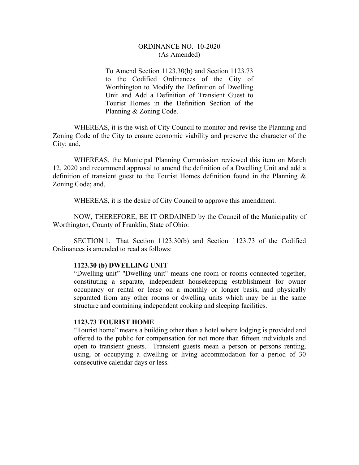## ORDINANCE NO. 10-2020 (As Amended)

To Amend Section 1123.30(b) and Section 1123.73 to the Codified Ordinances of the City of Worthington to Modify the Definition of Dwelling Unit and Add a Definition of Transient Guest to Tourist Homes in the Definition Section of the Planning & Zoning Code.

WHEREAS, it is the wish of City Council to monitor and revise the Planning and Zoning Code of the City to ensure economic viability and preserve the character of the City; and,

WHEREAS, the Municipal Planning Commission reviewed this item on March 12, 2020 and recommend approval to amend the definition of a Dwelling Unit and add a definition of transient guest to the Tourist Homes definition found in the Planning & Zoning Code; and,

WHEREAS, it is the desire of City Council to approve this amendment.

 NOW, THEREFORE, BE IT ORDAINED by the Council of the Municipality of Worthington, County of Franklin, State of Ohio:

 SECTION 1. That Section 1123.30(b) and Section 1123.73 of the Codified Ordinances is amended to read as follows:

## **1123.30 (b) DWELLING UNIT**

 "Dwelling unit" "Dwelling unit" means one room or rooms connected together, constituting a separate, independent housekeeping establishment for owner occupancy or rental or lease on a monthly or longer basis, and physically separated from any other rooms or dwelling units which may be in the same structure and containing independent cooking and sleeping facilities.

## **1123.73 TOURIST HOME**

"Tourist home" means a building other than a hotel where lodging is provided and offered to the public for compensation for not more than fifteen individuals and open to transient guests. Transient guests mean a person or persons renting, using, or occupying a dwelling or living accommodation for a period of 30 consecutive calendar days or less.